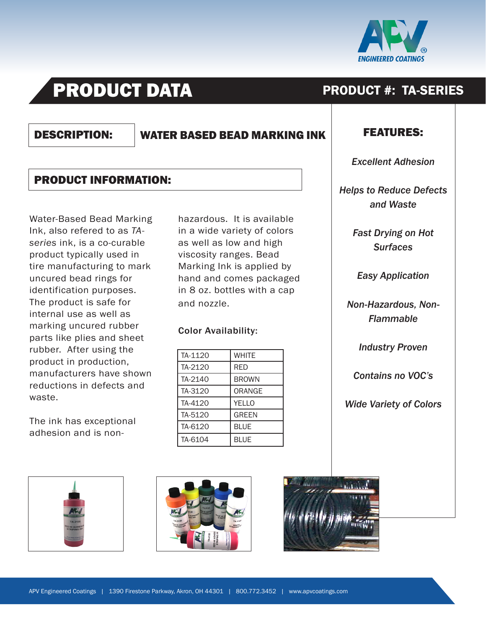

# **PRODUCT DATA** PRODUCT #: TA-SERIES

#### DESCRIPTION: WATER BASED BEAD MARKING INK

#### PRODUCT INFORMATION:

Water-Based Bead Marking Ink, also refered to as *TAseries* ink, is a co-curable product typically used in tire manufacturing to mark uncured bead rings for identification purposes. The product is safe for internal use as well as marking uncured rubber parts like plies and sheet rubber. After using the product in production, manufacturers have shown reductions in defects and waste.

The ink has exceptional adhesion and is nonhazardous. It is available in a wide variety of colors as well as low and high viscosity ranges. Bead Marking Ink is applied by hand and comes packaged in 8 oz. bottles with a cap and nozzle.

#### Color Availability:

| TA-1120 | <b>WHITE</b> |
|---------|--------------|
| TA-2120 | <b>RED</b>   |
| TA-2140 | <b>BROWN</b> |
| TA-3120 | ORANGE       |
| TA-4120 | <b>YELLO</b> |
| TA-5120 | <b>GREEN</b> |
| TA-6120 | <b>BLUE</b>  |
| TA-6104 | <b>BLUE</b>  |

#### FEATURES:

*Excellent Adhesion*

*Helps to Reduce Defects and Waste* 

> *Fast Drying on Hot Surfaces*

*Easy Application*

*Non-Hazardous, Non-Flammable*

*Industry Proven*

*Contains no VOC's*

*Wide Variety of Colors*





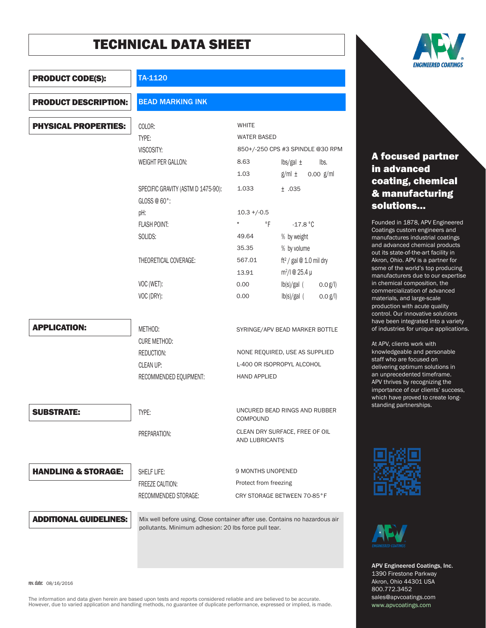

rev. date: 08/16/2016

The information and data given herein are based upon tests and reports considered reliable and are believed to be accurate. However, due to varied application and handling methods, no guarantee of duplicate performance, expressed or implied, is made.



#### A focused partner in advanced coating, chemical & manufacturing solutions…

Founded in 1878, APV Engineered Coatings custom engineers and manufactures industrial coatings and advanced chemical products out its state-of-the-art facility in Akron, Ohio. APV is a partner for some of the world's top producing manufacturers due to our expertise in chemical composition, the commercialization of advanced materials, and large-scale production with acute quality control. Our innovative solutions have been integrated into a variety of industries for unique applications.

At APV, clients work with knowledgeable and personable staff who are focused on delivering optimum solutions in an unprecedented timeframe. APV thrives by recognizing the importance of our clients' success, which have proved to create longstanding partnerships.





APV Engineered Coatings, Inc. 1390 Firestone Parkway Akron, Ohio 44301 USA 800.772.3452 sales@apvcoatings.com www.apvcoatings.com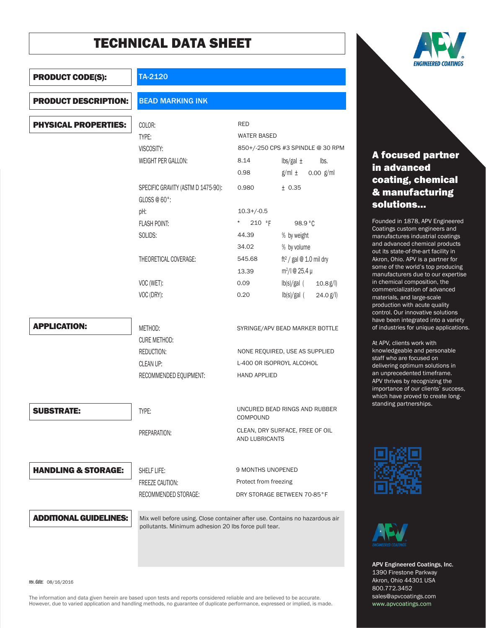

## A focused partner in advanced coating, chemical & manufacturing solutions…

Founded in 1878, APV Engineered Coatings custom engineers and manufactures industrial coatings and advanced chemical products out its state-of-the-art facility in Akron, Ohio. APV is a partner for some of the world's top producing manufacturers due to our expertise in chemical composition, the commercialization of advanced materials, and large-scale production with acute quality control. Our innovative solutions have been integrated into a variety of industries for unique applications.

At APV, clients work with knowledgeable and personable staff who are focused on delivering optimum solutions in an unprecedented timeframe. APV thrives by recognizing the importance of our clients' success, which have proved to create longstanding partnerships.





APV Engineered Coatings, Inc. 1390 Firestone Parkway Akron, Ohio 44301 USA 800.772.3452 sales@apvcoatings.com www.apvcoatings.com

#### PRODUCT CODE(S):

#### TA-2120

#### $\frac{1}{2}$  lbs. 0.00  $g/ml$ 0.980 <u>+</u> 0.35  $Q \times Q \times C$ % by weight % by volume ft² / gal @ 1.0 mil dry m2/l @ 25.4 µ 0.09 lb(s)/gal ( 10.8 g/l) lb(s)/gal ( g/l) 0.20 24.0 COLOR: TYPE: VISCOSITY: WEIGHT PER GALLON: SPECIFIC GRAVITY (ASTM D 1475-90): GLOSS @ 60°: pH: FLASH POINT: SOLIDS: THEORETICAL COVERAGE: VOC (WET): VOC (DRY): METHOD: CURE METHOD: REDUCTION: CLEAN UP: RECOMMENDED EQUIPMENT: TYPE: PREPARATION: SHELF LIFE: FREEZE CAUTION: RECOMMENDED STORAGE: PRODUCT DESCRIPTION: PHYSICAL PROPERTIES: APPLICATION: SUBSTRATE: HANDLING & STORAGE: BEAD MARKING INK RED WATER BASED 850+/-250 CPS #3 SPINDLE @ 30 RPM 8.14 0.98  $g/ml \pm$  $10.3+/0.5$  $210 °F$ 44.39 34.02 545.68 13.39 SYRINGE/APV BEAD MARKER BOTTLE NONE REQUIRED, USE AS SUPPLIED L-400 OR ISOPROYL ALCOHOL HAND APPLIED UNCURED BEAD RINGS AND RUBBER COMPOUND CLEAN, DRY SURFACE, FREE OF OIL AND LUBRICANTS 9 MONTHS UNOPENED Protect from freezing DRY STORAGE BETWEEN 70-85°F

Mix well before using. Close container after use. Contains no hazardous air pollutants. Minimum adhesion 20 lbs force pull tear.

rev. date: 08/16/2016

ADDITIONAL GUIDELINES: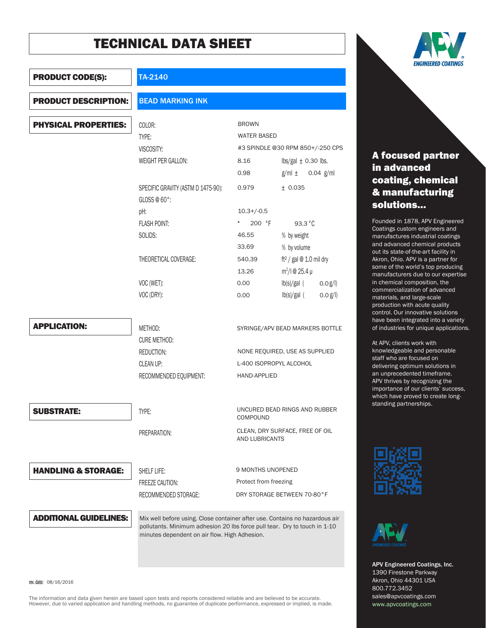

## A focused partner in advanced coating, chemical & manufacturing solutions…

Founded in 1878, APV Engineered Coatings custom engineers and manufactures industrial coatings and advanced chemical products out its state-of-the-art facility in Akron, Ohio. APV is a partner for some of the world's top producing manufacturers due to our expertise in chemical composition, the commercialization of advanced materials, and large-scale production with acute quality control. Our innovative solutions have been integrated into a variety of industries for unique applications.

At APV, clients work with knowledgeable and personable staff who are focused on delivering optimum solutions in an unprecedented timeframe. APV thrives by recognizing the importance of our clients' success, which have proved to create longstanding partnerships.





APV Engineered Coatings, Inc. 1390 Firestone Parkway Akron, Ohio 44301 USA 800.772.3452 sales@apvcoatings.com www.apvcoatings.com

| <b>PRODUCT CODE(S):</b>        | TA-2140<br><b>BEAD MARKING INK</b>                                                                                                                       |                                                   |                                       |             |  |  |
|--------------------------------|----------------------------------------------------------------------------------------------------------------------------------------------------------|---------------------------------------------------|---------------------------------------|-------------|--|--|
| <b>PRODUCT DESCRIPTION:</b>    |                                                                                                                                                          |                                                   |                                       |             |  |  |
| <b>PHYSICAL PROPERTIES:</b>    | COLOR:                                                                                                                                                   | <b>BROWN</b>                                      |                                       |             |  |  |
|                                | TYPE:                                                                                                                                                    | <b>WATER BASED</b>                                |                                       |             |  |  |
|                                | VISCOSITY:                                                                                                                                               |                                                   | #3 SPINDLE @30 RPM 850+/-250 CPS      |             |  |  |
|                                | <b>WEIGHT PER GALLON:</b>                                                                                                                                | 8.16                                              | $\frac{1}{2}$ lbs/gal $\pm$ 0.30 lbs. |             |  |  |
|                                |                                                                                                                                                          | 0.98                                              | $g/ml \pm$                            | $0.04$ g/ml |  |  |
|                                | SPECIFIC GRAVITY (ASTM D 1475-90):<br>GLOSS @ 60°:                                                                                                       | 0.979                                             | ± 0.035                               |             |  |  |
|                                | pH:                                                                                                                                                      | $10.3 + / -0.5$                                   |                                       |             |  |  |
|                                | <b>FLASH POINT:</b>                                                                                                                                      | $^{\star}$<br>200 °F                              | 93.3 °C                               |             |  |  |
|                                | SOLIDS:                                                                                                                                                  | 46.55                                             | % by weight                           |             |  |  |
|                                |                                                                                                                                                          | 33.69                                             | % by volume                           |             |  |  |
|                                | THEORETICAL COVERAGE:                                                                                                                                    | 540.39                                            | ft <sup>2</sup> / gal @ 1.0 mil dry   |             |  |  |
|                                |                                                                                                                                                          | 13.26                                             | $m^2/l$ @ 25.4 $\mu$                  |             |  |  |
|                                | VOC (WET):                                                                                                                                               | 0.00                                              | $lb(s)/gal$ (                         | 0.0 g/      |  |  |
|                                | VOC (DRY):                                                                                                                                               | 0.00                                              | $lb(s)/gal$ (                         | 0.0 g/l     |  |  |
| <b>APPLICATION:</b>            | METHOD:                                                                                                                                                  | SYRINGE/APV BEAD MARKERS BOTTLE                   |                                       |             |  |  |
|                                | <b>CURE METHOD:</b>                                                                                                                                      |                                                   |                                       |             |  |  |
|                                | REDUCTION:                                                                                                                                               | NONE REQUIRED, USE AS SUPPLIED                    |                                       |             |  |  |
|                                | CLEAN UP:                                                                                                                                                |                                                   | L-400 ISOPROPYL ALCOHOL               |             |  |  |
|                                | RECOMMENDED EQUIPMENT:                                                                                                                                   | HAND-APPLIED                                      |                                       |             |  |  |
| SUBSTRATE:                     | TYPE:                                                                                                                                                    | UNCURED BEAD RINGS AND RUBBER<br><b>COMPOUND</b>  |                                       |             |  |  |
|                                | PREPARATION:                                                                                                                                             | CLEAN, DRY SURFACE, FREE OF OIL<br>AND LUBRICANTS |                                       |             |  |  |
| <b>HANDLING &amp; STORAGE:</b> | SHELF LIFE:                                                                                                                                              | 9 MONTHS UNOPENED                                 |                                       |             |  |  |
|                                | FREEZE CAUTION:                                                                                                                                          | Protect from freezing                             |                                       |             |  |  |
|                                | RECOMMENDED STORAGE:                                                                                                                                     | DRY STORAGE BETWEEN 70-80°F                       |                                       |             |  |  |
| <b>ADDITIONAL GUIDELINES:</b>  | Mix well before using. Close container after use. Contains no hazardous air<br>pollutants. Minimum adhesion 20 lbs force pull tear. Dry to touch in 1-10 |                                                   |                                       |             |  |  |

rev. date: 08/16/2016

The information and data given herein are based upon tests and reports considered reliable and are believed to be accurate.<br>However, due to varied application and handling methods, no guarantee of duplicate performance, ex

minutes dependent on air flow. High Adhesion.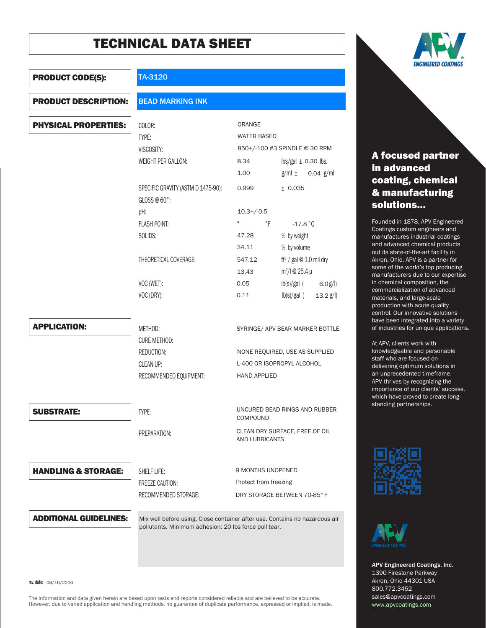



## A focused partner in advanced coating, chemical & manufacturing solutions…

Founded in 1878, APV Engineered Coatings custom engineers and manufactures industrial coatings and advanced chemical products out its state-of-the-art facility in Akron, Ohio. APV is a partner for some of the world's top producing manufacturers due to our expertise in chemical composition, the commercialization of advanced materials, and large-scale production with acute quality control. Our innovative solutions have been integrated into a variety of industries for unique applications.

At APV, clients work with knowledgeable and personable staff who are focused on delivering optimum solutions in an unprecedented timeframe. APV thrives by recognizing the importance of our clients' success, which have proved to create longstanding partnerships.





APV Engineered Coatings, Inc. 1390 Firestone Parkway Akron, Ohio 44301 USA 800.772.3452 sales@apvcoatings.com www.apvcoatings.com

rev. date: 08/16/2016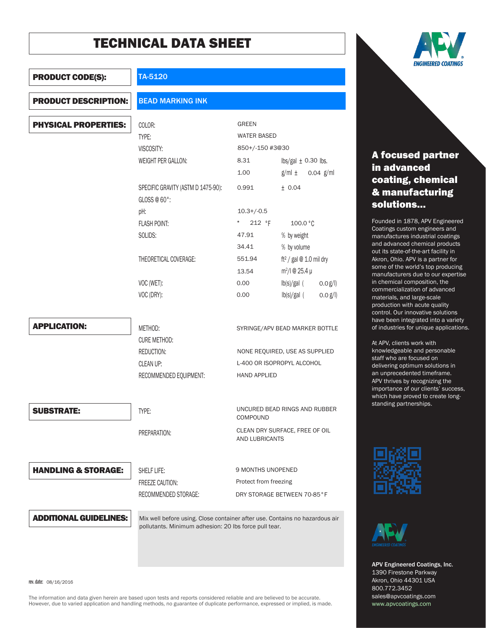| <b>PRODUCT CODE(S):</b>        | TA-5120                                                                                                                              |                                                                                                                       |                                                      |  |
|--------------------------------|--------------------------------------------------------------------------------------------------------------------------------------|-----------------------------------------------------------------------------------------------------------------------|------------------------------------------------------|--|
| <b>PRODUCT DESCRIPTION:</b>    | <b>BEAD MARKING INK</b>                                                                                                              |                                                                                                                       |                                                      |  |
| <b>PHYSICAL PROPERTIES:</b>    | COLOR:<br>TYPE:<br>VISCOSITY:                                                                                                        | <b>GREEN</b><br><b>WATER BASED</b><br>850+/-150 #3@30                                                                 |                                                      |  |
|                                | WEIGHT PER GALLON:                                                                                                                   | 8.31<br>1.00                                                                                                          | lbs/gal $\pm$ 0.30 lbs.<br>$0.04$ g/ml<br>$g/ml \pm$ |  |
|                                | SPECIFIC GRAVITY (ASTM D 1475-90):<br>$GLOSS @ 60^\circ$ :                                                                           | 0.991                                                                                                                 | ± 0.04                                               |  |
|                                | pH:<br><b>FLASH POINT:</b><br>SOLIDS:                                                                                                | $10.3 + / -0.5$<br>212 °F<br>$\star$<br>47.91                                                                         | 100.0 °C<br>% by weight                              |  |
|                                | THEORETICAL COVERAGE:                                                                                                                | % by volume<br>34.41<br>ft <sup>2</sup> / gal $@$ 1.0 mil dry<br>551.94<br>$m^2/l$ @ 25.4 $\mu$<br>13.54              |                                                      |  |
|                                | VOC (WET):<br>VOC (DRY):                                                                                                             | 0.00<br>0.00                                                                                                          | $lb(s)/gal$ (<br>0.0 g/l<br>$lb(s)/gal$ (<br>0.0 g/l |  |
| <b>APPLICATION:</b>            | METHOD:<br><b>CURE METHOD:</b>                                                                                                       | SYRINGE/APV BEAD MARKER BOTTLE<br>NONE REQUIRED, USE AS SUPPLIED<br>L-400 OR ISOPROPYL ALCOHOL<br><b>HAND APPLIED</b> |                                                      |  |
|                                | REDUCTION:<br>CLEAN UP:                                                                                                              |                                                                                                                       |                                                      |  |
|                                | RECOMMENDED EQUIPMENT:                                                                                                               |                                                                                                                       |                                                      |  |
| <b>SUBSTRATE:</b>              | TYPE:                                                                                                                                | UNCURED BEAD RINGS AND RUBBER<br>COMPOUND<br>CLEAN DRY SURFACE, FREE OF OIL<br>AND LUBRICANTS                         |                                                      |  |
|                                | PREPARATION:                                                                                                                         |                                                                                                                       |                                                      |  |
| <b>HANDLING &amp; STORAGE:</b> | SHELF LIFE:                                                                                                                          | 9 MONTHS UNOPENED                                                                                                     |                                                      |  |
|                                | <b>FREEZE CAUTION:</b>                                                                                                               | Protect from freezing                                                                                                 |                                                      |  |
|                                | RECOMMENDED STORAGE:                                                                                                                 |                                                                                                                       | DRY STORAGE BETWEEN 70-85°F                          |  |
| <b>ADDITIONAL GUIDELINES:</b>  | Mix well before using. Close container after use. Contains no hazardous air<br>pollutants. Minimum adhesion: 20 lbs force pull tear. |                                                                                                                       |                                                      |  |



### A focused partner in advanced coating, chemical & manufacturing solutions…

Founded in 1878, APV Engineered Coatings custom engineers and manufactures industrial coatings and advanced chemical products out its state-of-the-art facility in Akron, Ohio. APV is a partner for some of the world's top producing manufacturers due to our expertise in chemical composition, the commercialization of advanced materials, and large-scale production with acute quality control. Our innovative solutions have been integrated into a variety of industries for unique applications.

At APV, clients work with knowledgeable and personable staff who are focused on delivering optimum solutions in an unprecedented timeframe. APV thrives by recognizing the importance of our clients' success, which have proved to create longstanding partnerships.





APV Engineered Coatings, Inc. 1390 Firestone Parkway Akron, Ohio 44301 USA 800.772.3452 sales@apvcoatings.com www.apvcoatings.com

rev. date: 08/16/2016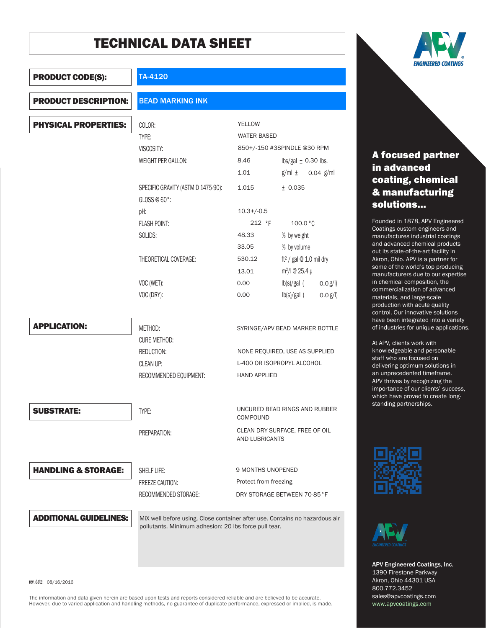

## A focused partner in advanced coating, chemical & manufacturing solutions…

Founded in 1878, APV Engineered Coatings custom engineers and manufactures industrial coatings and advanced chemical products out its state-of-the-art facility in Akron, Ohio. APV is a partner for some of the world's top producing manufacturers due to our expertise in chemical composition, the commercialization of advanced materials, and large-scale production with acute quality control. Our innovative solutions have been integrated into a variety of industries for unique applications.

At APV, clients work with knowledgeable and personable staff who are focused on delivering optimum solutions in an unprecedented timeframe. APV thrives by recognizing the importance of our clients' success, which have proved to create longstanding partnerships.





APV Engineered Coatings, Inc. 1390 Firestone Parkway Akron, Ohio 44301 USA 800.772.3452 sales@apvcoatings.com www.apvcoatings.com

#### PRODUCT CODE(S):

#### TA-4120

| <b>PRODUCT DESCRIPTION:</b>    | <b>BEAD MARKING INK</b>            |                                                                                     |                                       |  |  |
|--------------------------------|------------------------------------|-------------------------------------------------------------------------------------|---------------------------------------|--|--|
| <b>PHYSICAL PROPERTIES:</b>    | COLOR:                             | <b>YELLOW</b>                                                                       |                                       |  |  |
|                                | TYPE:                              | <b>WATER BASED</b><br>850+/-150 #3SPINDLE @30 RPM                                   |                                       |  |  |
|                                | VISCOSITY:                         |                                                                                     |                                       |  |  |
|                                | WEIGHT PER GALLON:                 | 8.46                                                                                | $\frac{1}{2}$ lbs/gal $\pm$ 0.30 lbs. |  |  |
|                                |                                    | 1.01                                                                                | g/ml ±<br>$0.04$ g/ml                 |  |  |
|                                | SPECIFIC GRAVITY (ASTM D 1475-90): | 1.015                                                                               | ± 0.035                               |  |  |
|                                | GLOSS@60°                          |                                                                                     |                                       |  |  |
|                                | pH:                                | $10.3 + / -0.5$                                                                     |                                       |  |  |
|                                | <b>FLASH POINT:</b>                | 212 °F                                                                              | 100.0 °C                              |  |  |
|                                | SOLIDS:                            | 48.33                                                                               | % by weight                           |  |  |
|                                |                                    | 33.05                                                                               | % by volume                           |  |  |
|                                | THEORETICAL COVERAGE:              | ft <sup>2</sup> / gal @ 1.0 mil dry<br>530.12                                       |                                       |  |  |
|                                |                                    | 13.01                                                                               | $m^2$ / $\mid$ @ 25.4 $\upmu$         |  |  |
|                                | VOC (WET):                         | 0.00                                                                                | $lb(s)/gal$ (<br>0.0 g/l              |  |  |
|                                | VOC (DRY):                         | 0.00                                                                                | $lb(s)/gal$ (<br>0.0 g/l              |  |  |
|                                |                                    |                                                                                     |                                       |  |  |
| <b>APPLICATION:</b>            | METHOD:                            |                                                                                     | SYRINGE/APV BEAD MARKER BOTTLE        |  |  |
|                                | <b>CURE METHOD:</b>                | NONE REQUIRED, USE AS SUPPLIED<br>L-400 OR ISOPROPYL ALCOHOL<br><b>HAND APPLIED</b> |                                       |  |  |
|                                | REDUCTION:                         |                                                                                     |                                       |  |  |
|                                | CLEAN UP:                          |                                                                                     |                                       |  |  |
|                                | RECOMMENDED EQUIPMENT:             |                                                                                     |                                       |  |  |
|                                |                                    |                                                                                     |                                       |  |  |
| <b>SUBSTRATE:</b>              | TYPE:                              | COMPOUND                                                                            | UNCURED BEAD RINGS AND RUBBER         |  |  |
|                                | PREPARATION:                       | CLEAN DRY SURFACE, FREE OF OIL<br>AND LUBRICANTS                                    |                                       |  |  |
|                                |                                    |                                                                                     |                                       |  |  |
| <b>HANDLING &amp; STORAGE:</b> | SHELF LIFE:                        | 9 MONTHS UNOPENED                                                                   |                                       |  |  |
|                                | FREEZE CAUTION:                    | Protect from freezing                                                               |                                       |  |  |
|                                | RECOMMENDED STORAGE:               |                                                                                     | DRY STORAGE BETWEEN 70-85°F           |  |  |

ADDITIONAL GUIDELINES:

MiX well before using. Close container after use. Contains no hazardous air pollutants. Minimum adhesion: 20 lbs force pull tear.

rev. date: 08/16/2016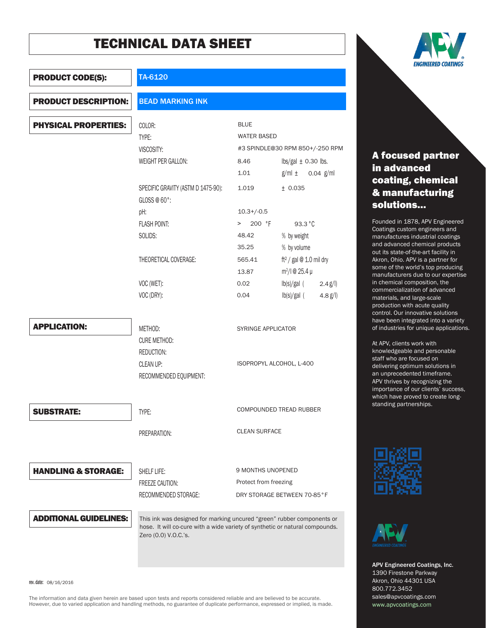TA-6120

PRODUCT CODE(S):



## A focused partner in advanced coating, chemical & manufacturing solutions…

Founded in 1878, APV Engineered Coatings custom engineers and manufactures industrial coatings and advanced chemical products out its state-of-the-art facility in Akron, Ohio. APV is a partner for some of the world's top producing manufacturers due to our expertise in chemical composition, the commercialization of advanced materials, and large-scale production with acute quality control. Our innovative solutions have been integrated into a variety of industries for unique applications.

At APV, clients work with knowledgeable and personable staff who are focused on delivering optimum solutions in an unprecedented timeframe. APV thrives by recognizing the importance of our clients' success, which have proved to create longstanding partnerships.





APV Engineered Coatings, Inc. 1390 Firestone Parkway Akron, Ohio 44301 USA 800.772.3452 sales@apvcoatings.com www.apvcoatings.com

| <b>PRODUCT DESCRIPTION:</b>    | <b>BEAD MARKING INK</b>                                                                                                                                                        |                                                 |                                                |                   |
|--------------------------------|--------------------------------------------------------------------------------------------------------------------------------------------------------------------------------|-------------------------------------------------|------------------------------------------------|-------------------|
| PHYSICAL PROPERTIES:           | COLOR:                                                                                                                                                                         | <b>BLUE</b>                                     |                                                |                   |
|                                | TYPE:                                                                                                                                                                          | <b>WATER BASED</b>                              |                                                |                   |
|                                | VISCOSITY:                                                                                                                                                                     | #3 SPINDLE@30 RPM 850+/-250 RPM                 |                                                |                   |
|                                | WEIGHT PER GALLON:                                                                                                                                                             | 8.46                                            | $\frac{1}{2}$ lbs/gal $\pm$ 0.30 lbs.          |                   |
|                                |                                                                                                                                                                                | 1.01                                            | $g/ml \pm 0.04$ $g/ml$                         |                   |
|                                | SPECIFIC GRAVITY (ASTM D 1475-90):                                                                                                                                             | 1.019                                           | ± 0.035                                        |                   |
|                                | GLOSS @ 60°:                                                                                                                                                                   |                                                 |                                                |                   |
|                                | pH:                                                                                                                                                                            | $10.3 + / -0.5$                                 |                                                |                   |
|                                | <b>FLASH POINT:</b>                                                                                                                                                            | > 200 °F                                        | 93.3 °C                                        |                   |
|                                | SOLIDS:                                                                                                                                                                        | 48.42<br>35.25                                  | % by weight                                    |                   |
|                                |                                                                                                                                                                                |                                                 | % by volume                                    |                   |
|                                | THEORETICAL COVERAGE:                                                                                                                                                          | 565.41                                          | ft <sup>2</sup> / gal $@$ 1.0 mil dry          |                   |
|                                | VOC (WET):                                                                                                                                                                     | 13.87<br>0.02                                   | $m^2$ / $\mid$ @ 25.4 $\upmu$<br>$lb(s)/gal$ ( |                   |
|                                | VOC (DRY):                                                                                                                                                                     | 0.04                                            | $lb(s)/gal$ (                                  | 2.4 g/l<br>4.8 g/ |
|                                |                                                                                                                                                                                |                                                 |                                                |                   |
| Application:                   | METHOD:                                                                                                                                                                        | <b>SYRINGE APPLICATOR</b>                       |                                                |                   |
|                                | <b>CURE METHOD:</b>                                                                                                                                                            |                                                 |                                                |                   |
|                                | <b>REDUCTION:</b>                                                                                                                                                              |                                                 |                                                |                   |
|                                | CLEAN UP:                                                                                                                                                                      | ISOPROPYL ALCOHOL, L-400                        |                                                |                   |
|                                | RECOMMENDED EQUIPMENT:                                                                                                                                                         |                                                 |                                                |                   |
| SUBSTRATE:                     | TYPE:                                                                                                                                                                          | COMPOUNDED TREAD RUBBER<br><b>CLEAN SURFACE</b> |                                                |                   |
|                                | PREPARATION:                                                                                                                                                                   |                                                 |                                                |                   |
|                                |                                                                                                                                                                                |                                                 |                                                |                   |
| <b>HANDLING &amp; STORAGE:</b> | SHELF LIFE:                                                                                                                                                                    | <b>9 MONTHS UNOPENED</b>                        |                                                |                   |
|                                | FREEZE CAUTION:                                                                                                                                                                | Protect from freezing                           |                                                |                   |
|                                | RECOMMENDED STORAGE:                                                                                                                                                           | DRY STORAGE BETWEEN 70-85°F                     |                                                |                   |
| <b>ADDITIONAL GUIDELINES:</b>  | This ink was designed for marking uncured "green" rubber components or<br>hose. It will co-cure with a wide variety of synthetic or natural compounds.<br>Zero (0.0) V.O.C.'s. |                                                 |                                                |                   |

rev. date: 08/16/2016